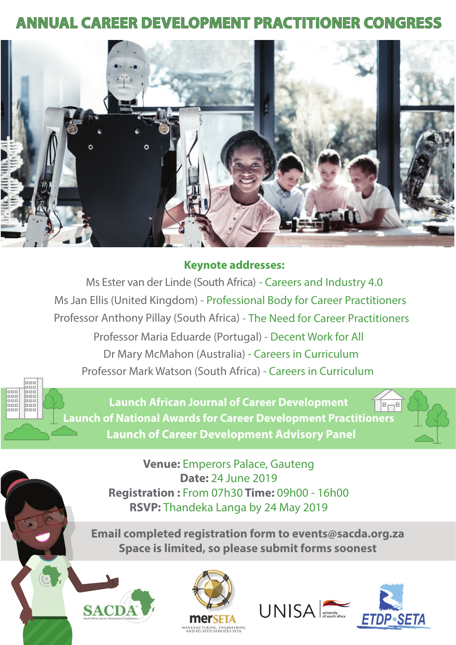## **ANNUAL CAREER DEVELOPMENT PRACTITIONER CONGRESS**



## **Keynote addresses:**

Ms Ester van der Linde (South Africa) - Careers and Industry 4.0 Ms Jan Ellis (United Kingdom) - Professional Body for Career Practitioners Professor Anthony Pillay (South Africa) - The Need for Career Practitioners Professor Maria Eduarde (Portugal) - Decent Work for All Dr Mary McMahon (Australia) - Careers in Curriculum Professor Mark Watson (South Africa) - Careers in Curriculum



**Launch African Journal of Career Development Launch of National Awards for Career Development Practitioners Launch of Career Development Advisory Panel** 



**Venue:** Emperors Palace, Gauteng **Date: 24 June 2019** Registration: From 07h30 Time: 09h00 - 16h00 RSVP: Thandeka Langa by 24 May 2019

Email completed registration form to events@sacda.org.za Space is limited, so please submit forms soonest







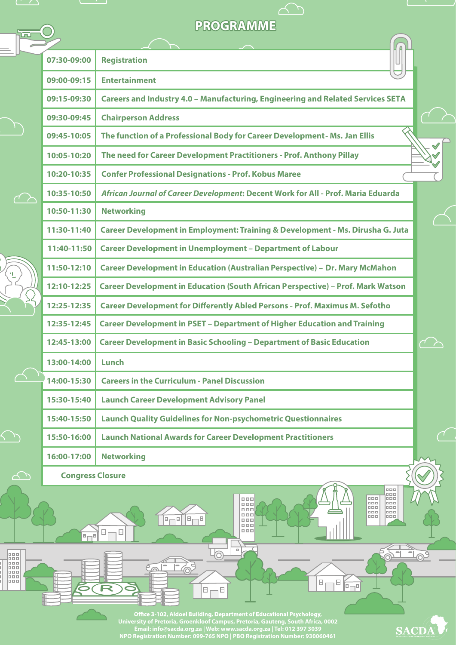## **PROGRAMME**

 $\bigcirc$ 

ū

 $\ddot{\phantom{1}}$ 

 $\overline{\triangle}$ 

 $\curvearrowright$ 

**Banada** 

 $\begin{matrix} \boxed{11} \end{matrix}$  $\boxminus$ 

5

 $\Box$ 

R

|  | 07:30-09:00             | <b>Registration</b>                                                                    |              |
|--|-------------------------|----------------------------------------------------------------------------------------|--------------|
|  | 09:00-09:15             | <b>Entertainment</b>                                                                   |              |
|  | 09:15-09:30             | Careers and Industry 4.0 - Manufacturing, Engineering and Related Services SETA        |              |
|  | 09:30-09:45             | <b>Chairperson Address</b>                                                             |              |
|  | 09:45-10:05             | The function of a Professional Body for Career Development - Ms. Jan Ellis             | $\checkmark$ |
|  | 10:05-10:20             | The need for Career Development Practitioners - Prof. Anthony Pillay                   |              |
|  | 10:20-10:35             | <b>Confer Professional Designations - Prof. Kobus Maree</b>                            |              |
|  | 10:35-10:50             | African Journal of Career Development: Decent Work for All - Prof. Maria Eduarda       |              |
|  | 10:50-11:30             | <b>Networking</b>                                                                      |              |
|  | 11:30-11:40             | Career Development in Employment: Training & Development - Ms. Dirusha G. Juta         |              |
|  | 11:40-11:50             | <b>Career Development in Unemployment - Department of Labour</b>                       |              |
|  | 11:50-12:10             | <b>Career Development in Education (Australian Perspective) - Dr. Mary McMahon</b>     |              |
|  | 12:10-12:25             | <b>Career Development in Education (South African Perspective) - Prof. Mark Watson</b> |              |
|  | 12:25-12:35             | <b>Career Development for Differently Abled Persons - Prof. Maximus M. Sefotho</b>     |              |
|  | 12:35-12:45             | <b>Career Development in PSET - Department of Higher Education and Training</b>        |              |
|  | 12:45-13:00             | <b>Career Development in Basic Schooling - Department of Basic Education</b>           |              |
|  | 13:00-14:00             | Lunch                                                                                  |              |
|  | 14:00-15:30             | <b>Careers in the Curriculum - Panel Discussion</b>                                    |              |
|  | 15:30-15:40             | <b>Launch Career Development Advisory Panel</b>                                        |              |
|  | 15:40-15:50             | <b>Launch Quality Guidelines for Non-psychometric Questionnaires</b>                   |              |
|  | 15:50-16:00             | <b>Launch National Awards for Career Development Practitioners</b>                     |              |
|  | 16:00-17:00             | <b>Networking</b>                                                                      |              |
|  | <b>Congress Closure</b> |                                                                                        |              |

**University of Pretoria, Groenkloof Campus, Pretoria, Gauteng, South Africa, 0002 Email: info@sacda.org.za | Web: www.sacda.org.za | Tel: 012 397 3039 NPO Registration Number: 099-765 NPO | PBO Registration Number: 930060461**

**Readable** 

 $\overline{\phantom{a}}$ 

 $\overline{I_{\odot}}$ 

 $\overline{B}_1$  $\overline{B}$ 

 $\begin{picture}(10,10) \put(0,0){\line(1,0){10}} \put(10,0){\line(1,0){10}} \put(10,0){\line(1,0){10}} \put(10,0){\line(1,0){10}} \put(10,0){\line(1,0){10}} \put(10,0){\line(1,0){10}} \put(10,0){\line(1,0){10}} \put(10,0){\line(1,0){10}} \put(10,0){\line(1,0){10}} \put(10,0){\line(1,0){10}} \put(10,0){\line(1,0){10}} \put(10,0){\line(1$ 

汤

 $\triangle$ 

**Basse** 

50

-109

SACDA

ase<br>assessed<br>assessed

<u>Fr</u>

 $\overline{E}$